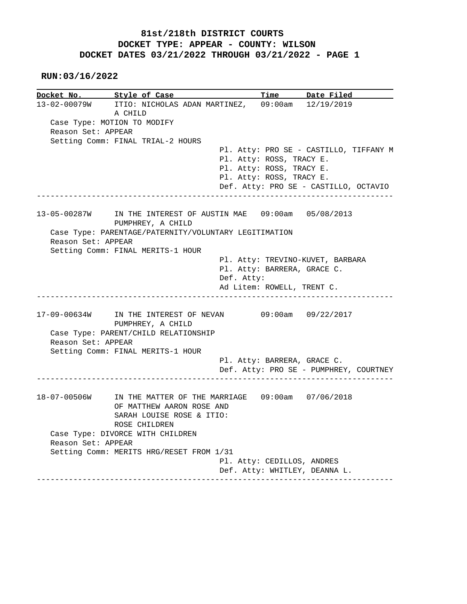**RUN:03/16/2022**

|                    | Docket No. Style of Case                                      |            |                            | Time Date Filed                                                                 |
|--------------------|---------------------------------------------------------------|------------|----------------------------|---------------------------------------------------------------------------------|
|                    | 13-02-00079W ITIO: NICHOLAS ADAN MARTINEZ,                    |            |                            | 09:00am 12/19/2019                                                              |
|                    | A CHILD                                                       |            |                            |                                                                                 |
|                    | Case Type: MOTION TO MODIFY                                   |            |                            |                                                                                 |
| Reason Set: APPEAR |                                                               |            |                            |                                                                                 |
|                    | Setting Comm: FINAL TRIAL-2 HOURS                             |            |                            |                                                                                 |
|                    |                                                               |            |                            | Pl. Atty: PRO SE - CASTILLO, TIFFANY M                                          |
|                    |                                                               |            | Pl. Atty: ROSS, TRACY E.   |                                                                                 |
|                    |                                                               |            | Pl. Atty: ROSS, TRACY E.   |                                                                                 |
|                    |                                                               |            | Pl. Atty: ROSS, TRACY E.   |                                                                                 |
|                    |                                                               |            |                            | Def. Atty: PRO SE - CASTILLO, OCTAVIO<br>______________________________________ |
| 13-05-00287W       | IN THE INTEREST OF AUSTIN MAE 09:00am 05/08/2013              |            |                            |                                                                                 |
|                    | PUMPHREY, A CHILD                                             |            |                            |                                                                                 |
|                    | Case Type: PARENTAGE/PATERNITY/VOLUNTARY LEGITIMATION         |            |                            |                                                                                 |
| Reason Set: APPEAR |                                                               |            |                            |                                                                                 |
|                    | Setting Comm: FINAL MERITS-1 HOUR                             |            |                            |                                                                                 |
|                    |                                                               |            |                            | Pl. Atty: TREVINO-KUVET, BARBARA                                                |
|                    |                                                               |            |                            | Pl. Atty: BARRERA, GRACE C.                                                     |
|                    |                                                               | Def. Atty: |                            |                                                                                 |
|                    |                                                               |            |                            |                                                                                 |
|                    |                                                               |            | Ad Litem: ROWELL, TRENT C. |                                                                                 |
|                    | 17-09-00634W IN THE INTEREST OF NEVAN                         |            |                            | 09:00am 09/22/2017                                                              |
|                    | PUMPHREY, A CHILD                                             |            |                            |                                                                                 |
|                    | Case Type: PARENT/CHILD RELATIONSHIP                          |            |                            |                                                                                 |
| Reason Set: APPEAR |                                                               |            |                            |                                                                                 |
|                    | Setting Comm: FINAL MERITS-1 HOUR                             |            |                            |                                                                                 |
|                    |                                                               |            |                            | Pl. Atty: BARRERA, GRACE C.<br>Def. Atty: PRO SE - PUMPHREY, COURTNEY           |
|                    |                                                               |            |                            |                                                                                 |
|                    | 18-07-00506W IN THE MATTER OF THE MARRIAGE 09:00am 07/06/2018 |            |                            |                                                                                 |
|                    | OF MATTHEW AARON ROSE AND                                     |            |                            |                                                                                 |
|                    | SARAH LOUISE ROSE & ITIO:                                     |            |                            |                                                                                 |
|                    | ROSE CHILDREN                                                 |            |                            |                                                                                 |
| Reason Set: APPEAR | Case Type: DIVORCE WITH CHILDREN                              |            |                            |                                                                                 |
|                    | Setting Comm: MERITS HRG/RESET FROM 1/31                      |            |                            |                                                                                 |
|                    |                                                               |            | Pl. Atty: CEDILLOS, ANDRES |                                                                                 |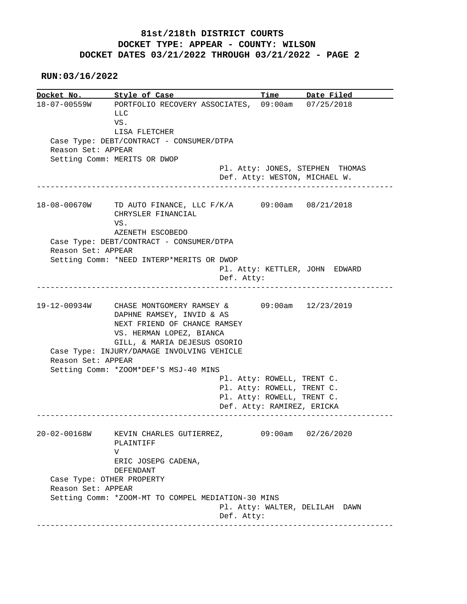**RUN:03/16/2022**

**Docket No. Style of Case Time Date Filed**  18-07-00559W PORTFOLIO RECOVERY ASSOCIATES, 09:00am 07/25/2018 LLC VS. LISA FLETCHER Case Type: DEBT/CONTRACT - CONSUMER/DTPA Reason Set: APPEAR Setting Comm: MERITS OR DWOP Pl. Atty: JONES, STEPHEN THOMAS Def. Atty: WESTON, MICHAEL W. ------------------------------------------------------------------------------ 18-08-00670W TD AUTO FINANCE, LLC F/K/A 09:00am 08/21/2018 CHRYSLER FINANCIAL VS. AZENETH ESCOBEDO Case Type: DEBT/CONTRACT - CONSUMER/DTPA Reason Set: APPEAR Setting Comm: \*NEED INTERP\*MERITS OR DWOP Pl. Atty: KETTLER, JOHN EDWARD Def. Atty: ------------------------------------------------------------------------------ 19-12-00934W CHASE MONTGOMERY RAMSEY & 09:00am 12/23/2019 DAPHNE RAMSEY, INVID & AS NEXT FRIEND OF CHANCE RAMSEY VS. HERMAN LOPEZ, BIANCA GILL, & MARIA DEJESUS OSORIO Case Type: INJURY/DAMAGE INVOLVING VEHICLE Reason Set: APPEAR Setting Comm: \*ZOOM\*DEF'S MSJ-40 MINS Pl. Atty: ROWELL, TRENT C. Pl. Atty: ROWELL, TRENT C. Pl. Atty: ROWELL, TRENT C. Def. Atty: RAMIREZ, ERICKA ------------------------------------------------------------------------------ 20-02-00168W KEVIN CHARLES GUTIERREZ, 09:00am 02/26/2020 PLAINTIFF V ERIC JOSEPG CADENA, DEFENDANT Case Type: OTHER PROPERTY Reason Set: APPEAR Setting Comm: \*ZOOM-MT TO COMPEL MEDIATION-30 MINS Pl. Atty: WALTER, DELILAH DAWN Def. Atty: ------------------------------------------------------------------------------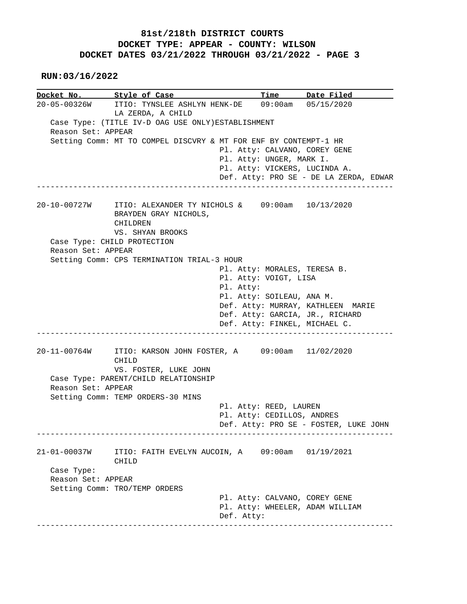**RUN:03/16/2022**

**Docket No. Style of Case Time Date Filed**  20-05-00326W ITIO: TYNSLEE ASHLYN HENK-DE 09:00am 05/15/2020 LA ZERDA, A CHILD Case Type: (TITLE IV-D OAG USE ONLY)ESTABLISHMENT Reason Set: APPEAR Setting Comm: MT TO COMPEL DISCVRY & MT FOR ENF BY CONTEMPT-1 HR Pl. Atty: CALVANO, COREY GENE Pl. Atty: UNGER, MARK I. Pl. Atty: VICKERS, LUCINDA A. Def. Atty: PRO SE - DE LA ZERDA, EDWAR ------------------------------------------------------------------------------ 20-10-00727W ITIO: ALEXANDER TY NICHOLS & 09:00am 10/13/2020 BRAYDEN GRAY NICHOLS, CHILDREN VS. SHYAN BROOKS Case Type: CHILD PROTECTION Reason Set: APPEAR Setting Comm: CPS TERMINATION TRIAL-3 HOUR Pl. Atty: MORALES, TERESA B. Pl. Atty: VOIGT, LISA Pl. Atty: Pl. Atty: SOILEAU, ANA M. Def. Atty: MURRAY, KATHLEEN MARIE Def. Atty: GARCIA, JR., RICHARD Def. Atty: FINKEL, MICHAEL C. ------------------------------------------------------------------------------ 20-11-00764W ITIO: KARSON JOHN FOSTER, A 09:00am 11/02/2020 CHILD VS. FOSTER, LUKE JOHN Case Type: PARENT/CHILD RELATIONSHIP Reason Set: APPEAR Setting Comm: TEMP ORDERS-30 MINS Pl. Atty: REED, LAUREN Pl. Atty: CEDILLOS, ANDRES Def. Atty: PRO SE - FOSTER, LUKE JOHN ------------------------------------------------------------------------------ 21-01-00037W ITIO: FAITH EVELYN AUCOIN, A 09:00am 01/19/2021 CHILD Case Type: Reason Set: APPEAR Setting Comm: TRO/TEMP ORDERS Pl. Atty: CALVANO, COREY GENE Pl. Atty: WHEELER, ADAM WILLIAM Def. Atty: ------------------------------------------------------------------------------